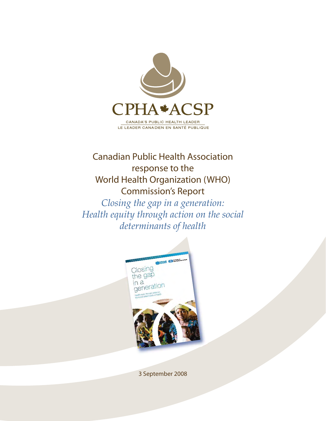

## Canadian Public Health Association response to the World Health Organization (WHO) Commission's Report

*Closing the gap in a generation: Health equity through action on the social determinants of health*



3 September 2008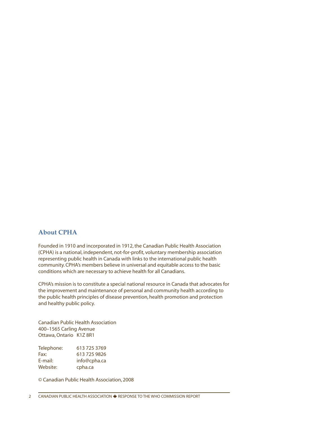### **About CPHA**

Founded in 1910 and incorporated in 1912, the Canadian Public Health Association (CPHA) is a national, independent, not-for-profit, voluntary membership association representing public health in Canada with links to the international public health community. CPHA's members believe in universal and equitable access to the basic conditions which are necessary to achieve health for all Canadians.

CPHA's mission is to constitute a special national resource in Canada that advocates for the improvement and maintenance of personal and community health according to the public health principles of disease prevention, health promotion and protection and healthy public policy.

Canadian Public Health Association 400–1565 Carling Avenue Ottawa, Ontario K1Z 8R1

Telephone: 613 725 3769 Fax: 613 725 9826<br>
E-mail: info@cpha.ca info@cpha.ca Website: cpha.ca

© Canadian Public Health Association, 2008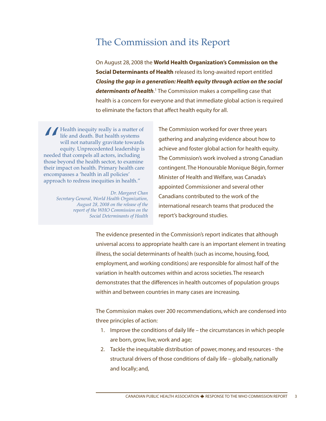## The Commission and its Report

On August 28, 2008 the **World Health Organization's Commission on the Social Determinants of Health** released its long-awaited report entitled *Closing the gap in a generation: Health equity through action on the social determinants of health*. <sup>1</sup> The Commission makes a compelling case that health is a concern for everyone and that immediate global action is required to eliminate the factors that affect health equity for all.

Fealth inequity really is a matter of<br>
life and death. But health systems<br>
will not naturally gravitate towards<br>
equity. Unprecedented leadership is<br>
needed that compels all actors, including life and death. But health systems will not naturally gravitate towards equity. Unprecedented leadership is needed that compels all actors, including those beyond the health sector, to examine their impact on health. Primary health care encompasses a 'health in all policies' approach to redress inequities in health."

> *Dr. Margaret Chan Secretary General, World Health Organization, August 28, 2008 on the release of the report of the WHO Commission on the Social Determinants of Health*

The Commission worked for over three years gathering and analyzing evidence about how to achieve and foster global action for health equity. The Commission's work involved a strong Canadian contingent. The Honourable Monique Bégin, former Minister of Health and Welfare, was Canada's appointed Commissioner and several other Canadians contributed to the work of the international research teams that produced the report's background studies.

The evidence presented in the Commission's report indicates that although universal access to appropriate health care is an important element in treating illness, the social determinants of health (such as income, housing, food, employment, and working conditions) are responsible for almost half of the variation in health outcomes within and across societies. The research demonstrates that the differences in health outcomes of population groups within and between countries in many cases are increasing.

The Commission makes over 200 recommendations, which are condensed into three principles of action:

- 1. Improve the conditions of daily life the circumstances in which people are born, grow, live, work and age;
- 2. Tackle the inequitable distribution of power, money, and resources the structural drivers of those conditions of daily life – globally, nationally and locally; and,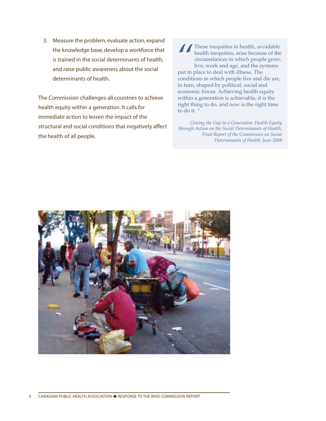3. Measure the problem, evaluate action, expand the knowledge base, develop a workforce that is trained in the social determinants of health, and raise public awareness about the social determinants of health.

The Commission challenges all countries to achieve health equity within a generation. It calls for immediate action to lessen the impact of the structural and social conditions that negatively affect the health of all people.

These inequities in health, avoidable<br>health inequities, arise because of the<br>circumstances in which people grow.<br>live, work and age, and the systems<br>put in place to deal with illness. The health inequities, arise because of the circumstances in which people grow, live, work and age, and the systems put in place to deal with illness. The conditions in which people live and die are, in turn, shaped by political, social and economic forces. Achieving health equity within a generation is achievable, it is the right thing to do, and now is the right time to do it. "

*Closing the Gap in a Generation: Health Equity through Action on the Social Determinants of Health, Final Report of the Commission on Social Determinants of Health, June 2008*

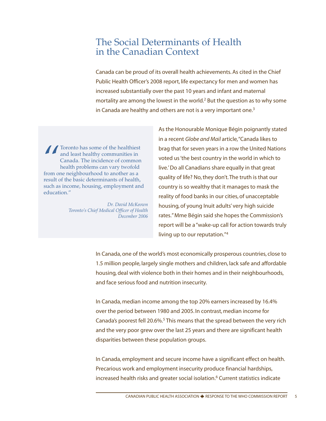### The Social Determinants of Health in the Canadian Context

Canada can be proud of its overall health achievements. As cited in the Chief Public Health Officer's 2008 report, life expectancy for men and women has increased substantially over the past 10 years and infant and maternal mortality are among the lowest in the world.<sup>2</sup> But the question as to why some in Canada are healthy and others are not is a very important one.<sup>3</sup>

**find the Solution School Separation**<br>
From one neighbourhood to another as a<br>
from one neighbourhood to another as a Toronto has some of the healthiest and least healthy communities in Canada. The incidence of common health problems can vary twofold result of the basic determinants of health, such as income, housing, employment and education."

> *Dr. David McKeown Toronto's Chief Medical Officer of Health December 2006*

As the Honourable Monique Bégin poignantly stated in a recent *Globe and Mail* article, "Canada likes to brag that for seven years in a row the United Nations voted us 'the best country in the world in which to live.' Do all Canadians share equally in that great quality of life? No, they don't. The truth is that our country is so wealthy that it manages to mask the reality of food banks in our cities, of unacceptable housing, of young Inuit adults' very high suicide rates." Mme Bégin said she hopes the Commission's report will be a "wake-up call for action towards truly living up to our reputation."4

In Canada, one of the world's most economically prosperous countries, close to 1.5 million people, largely single mothers and children, lack safe and affordable housing, deal with violence both in their homes and in their neighbourhoods, and face serious food and nutrition insecurity.

In Canada, median income among the top 20% earners increased by 16.4% over the period between 1980 and 2005. In contrast, median income for Canada's poorest fell 20.6%.<sup>5</sup> This means that the spread between the very rich and the very poor grew over the last 25 years and there are significant health disparities between these population groups.

In Canada, employment and secure income have a significant effect on health. Precarious work and employment insecurity produce financial hardships, increased health risks and greater social isolation.<sup>6</sup> Current statistics indicate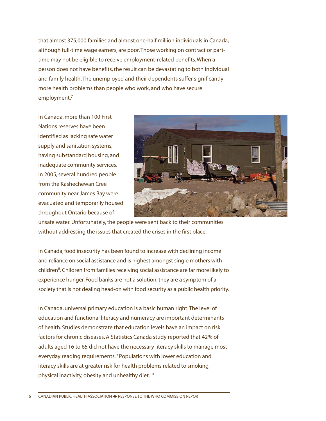that almost 375,000 families and almost one-half million individuals in Canada, although full-time wage earners, are poor.Those working on contract or parttime may not be eligible to receive employment-related benefits. When a person does not have benefits, the result can be devastating to both individual and family health.The unemployed and their dependents suffer significantly more health problems than people who work, and who have secure employment.7

In Canada, more than 100 First Nations reserves have been identified as lacking safe water supply and sanitation systems, having substandard housing, and inadequate community services. In 2005, several hundred people from the Kashechewan Cree community near James Bay were evacuated and temporarily housed throughout Ontario because of



unsafe water. Unfortunately, the people were sent back to their communities without addressing the issues that created the crises in the first place.

In Canada, food insecurity has been found to increase with declining income and reliance on social assistance and is highest amongst single mothers with children<sup>8</sup>. Children from families receiving social assistance are far more likely to experience hunger. Food banks are not a solution; they are a symptom of a society that is not dealing head-on with food security as a public health priority.

In Canada, universal primary education is a basic human right. The level of education and functional literacy and numeracy are important determinants of health. Studies demonstrate that education levels have an impact on risk factors for chronic diseases. A Statistics Canada study reported that 42% of adults aged 16 to 65 did not have the necessary literacy skills to manage most everyday reading requirements.<sup>9</sup> Populations with lower education and literacy skills are at greater risk for health problems related to smoking, physical inactivity, obesity and unhealthy diet.<sup>10</sup>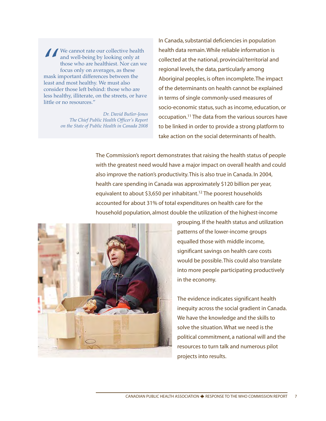We cannot rate our collective health and well-being by looking only a those who are healthiest. Nor can focus only on averages, as these mask important differences between the We cannot rate our collective health and well-being by looking only at those who are healthiest. Nor can we focus only on averages, as these least and most healthy. We must also consider those left behind: those who are less healthy, illiterate, on the streets, or have little or no resources."

> *Dr. David Butler-Jones The Chief Public Health Officer's Report on the State of Public Health in Canada 2008*

In Canada, substantial deficiencies in population health data remain. While reliable information is collected at the national, provincial/territorial and regional levels, the data, particularly among Aboriginal peoples, is often incomplete.The impact of the determinants on health cannot be explained in terms of single commonly-used measures of socio-economic status, such as income, education, or occupation.11 The data from the various sources have to be linked in order to provide a strong platform to take action on the social determinants of health.

The Commission's report demonstrates that raising the health status of people with the greatest need would have a major impact on overall health and could also improve the nation's productivity. This is also true in Canada. In 2004, health care spending in Canada was approximately \$120 billion per year, equivalent to about \$3,650 per inhabitant.<sup>12</sup> The poorest households accounted for about 31% of total expenditures on health care for the household population, almost double the utilization of the highest-income



grouping. If the health status and utilization patterns of the lower-income groups equalled those with middle income, significant savings on health care costs would be possible. This could also translate into more people participating productively in the economy.

The evidence indicates significant health inequity across the social gradient in Canada. We have the knowledge and the skills to solve the situation. What we need is the political commitment, a national will and the resources to turn talk and numerous pilot projects into results.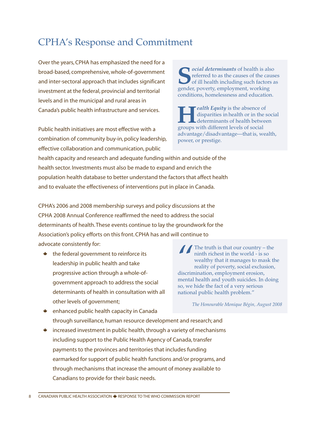# CPHA's Response and Commitment

Over the years, CPHA has emphasized the need for a broad-based, comprehensive, whole-of-government and inter-sectoral approach that includes significant investment at the federal, provincial and territorial levels and in the municipal and rural areas in Canada's public health infrastructure and services.

Public health initiatives are most effective with a combination of community buy-in, policy leadership, effective collaboration and communication, public

**S***ocial determinants* of health is also referred to as the causes of the causes of ill health including such factors as gender, poverty, employment, working conditions, homelessness and education.

*Health Equity* is the absence of disparities in health or in the social determinants of health between groups with different levels of social advantage/disadvantage—that is, wealth, power, or prestige.

health capacity and research and adequate funding within and outside of the health sector. Investments must also be made to expand and enrich the population health database to better understand the factors that affect health and to evaluate the effectiveness of interventions put in place in Canada.

CPHA's 2006 and 2008 membership surveys and policy discussions at the CPHA 2008 Annual Conference reaffirmed the need to address the social determinants of health. These events continue to lay the groundwork for the Association's policy efforts on this front. CPHA has and will continue to advocate consistently for:

\* the federal government to reinforce its leadership in public health and take progressive action through a whole-ofgovernment approach to address the social determinants of health in consultation with all other levels of government;

The truth is that our country – the ninth richest in the world - is so wealthy that it manages to mask the reality of poverty, social exclusion discrimination, employment erosion, ninth richest in the world - is so wealthy that it manages to mask the reality of poverty, social exclusion, discrimination, employment erosion, mental health and youth suicides. In doing so, we hide the fact of a very serious national public health problem."

*The Honourable Monique Bégin, August 2008*

- \* enhanced public health capacity in Canada through surveillance, human resource development and research; and
- \* increased investment in public health, through a variety of mechanisms including support to the Public Health Agency of Canada, transfer payments to the provinces and territories that includes funding earmarked for support of public health functions and/or programs, and through mechanisms that increase the amount of money available to Canadians to provide for their basic needs.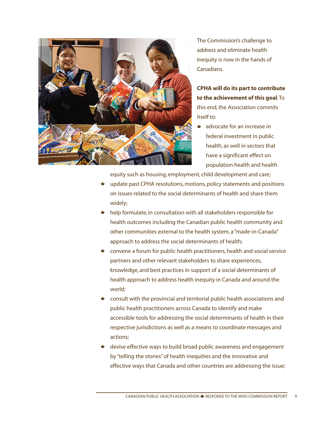

The Commission's challenge to address and eliminate health inequity is now in the hands of Canadians.

**CPHA will do its part to contribute to the achievement of this goal**. To this end, the Association commits itself to:

advocate for an increase in federal investment in public health, as well in sectors that have a significant effect on population health and health

equity such as housing, employment, child development and care;

- update past CPHA resolutions, motions, policy statements and positions on issues related to the social determinants of health and share them widely;
- \* help formulate, in consultation with all stakeholders responsible for health outcomes including the Canadian public health community and other communities external to the health system, a "made-in-Canada" approach to address the social determinants of health;
- \* convene a forum for public health practitioners, health and social service partners and other relevant stakeholders to share experiences, knowledge, and best practices in support of a social determinants of health approach to address health inequity in Canada and around the world;
- \* consult with the provincial and territorial public health associations and public health practitioners across Canada to identify and make accessible tools for addressing the social determinants of health in their respective jurisdictions as well as a means to coordinate messages and actions;
- devise effective ways to build broad public awareness and engagement by "telling the stories" of health inequities and the innovative and effective ways that Canada and other countries are addressing the issue;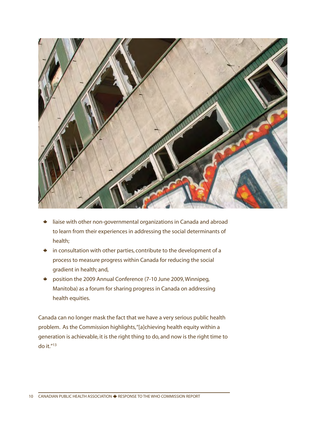

- liaise with other non-governmental organizations in Canada and abroad to learn from their experiences in addressing the social determinants of health;
- in consultation with other parties, contribute to the development of a process to measure progress within Canada for reducing the social gradient in health; and,
- position the 2009 Annual Conference (7-10 June 2009, Winnipeg, Manitoba) as a forum for sharing progress in Canada on addressing health equities.

Canada can no longer mask the fact that we have a very serious public health problem. As the Commission highlights, "[a]chieving health equity within a generation is achievable, it is the right thing to do, and now is the right time to do it."13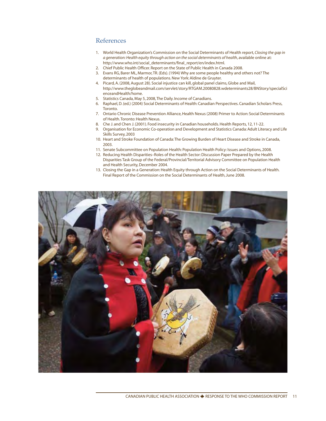#### References

- 1. World Health Organization's Commission on the Social Determinants of Health report, *Closing the gap in a generation: Health equity through action on the social determinants of health*, available online at: http://www.who.int/social\_determinants/final\_report/en/index.html.
- 2. Chief Public Health Officer. Report on the State of Public Health in Canada 2008.
- 3. Evans RG, Barer ML, Marmor, TR. (Eds). (1994) Why are some people healthy and others not? The determinants of health of populations. New York: Aldine de Gruyter.
- 4. Picard, A. (2008, August 28). Social injustice can kill, global panel claims, Globe and Mail, http://www.theglobeandmail.com/servlet/story/RTGAM.20080828.wdeterminants28/BNStory/specialSci enceandHealth/home.
- 5. Statistics Canada, May 5, 2008, The Daily. Income of Canadians.
- 6. Raphael, D. (ed.) (2004) Social Determinants of Health: Canadian Perspectives. Canadian Scholars Press, Toronto.
- 7. Ontario Chronic Disease Prevention Alliance, Health Nexus (2008) Primer to Action: Social Determinants of Health. Toronto: Health Nexus.
- 8. Che J. and Chen J. (2001). Food insecurity in Canadian households. Health Reports, 12, 11-22.
- 9. Organisation for Economic Co-operation and Development and Statistics Canada: Adult Literacy and Life Skills Survey, 2003
- 10. Heart and Stroke Foundation of Canada:The Growing Burden of Heart Disease and Stroke in Canada, 2003.
- 11. Senate Subcommittee on Population Health: Population Health Policy: Issues and Options, 2008.
- 12. Reducing Health Disparities–Roles of the Health Sector: Discussion Paper Prepared by the Health Disparities Task Group of the Federal/Provincial/Territorial Advisory Committee on Population Health and Health Security, December 2004.
- 13. Closing the Gap in a Generation: Health Equity through Action on the Social Determinants of Health. Final Report of the Commission on the Social Determinants of Health, June 2008.